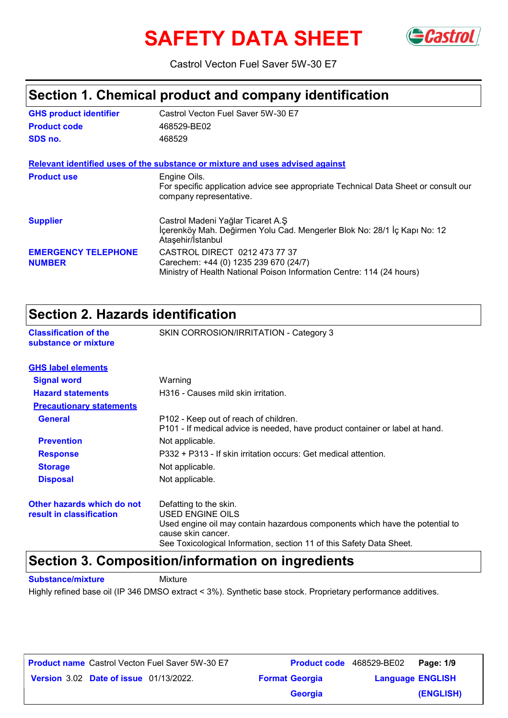# **SAFETY DATA SHEET** GCastrol



Castrol Vecton Fuel Saver 5W-30 E7

### **Section 1. Chemical product and company identification**

| <b>GHS product identifier</b>               | Castrol Vecton Fuel Saver 5W-30 E7                                                                                                              |
|---------------------------------------------|-------------------------------------------------------------------------------------------------------------------------------------------------|
| <b>Product code</b>                         | 468529-BE02                                                                                                                                     |
| SDS no.                                     | 468529                                                                                                                                          |
|                                             | Relevant identified uses of the substance or mixture and uses advised against                                                                   |
| <b>Product use</b>                          | Engine Oils.<br>For specific application advice see appropriate Technical Data Sheet or consult our<br>company representative.                  |
| <b>Supplier</b>                             | Castrol Madeni Yağlar Ticaret A.Ş<br>İçerenköy Mah. Değirmen Yolu Cad. Mengerler Blok No: 28/1 İç Kapı No: 12<br>Ataşehir/İstanbul              |
| <b>EMERGENCY TELEPHONE</b><br><b>NUMBER</b> | CASTROL DIRECT 0212 473 77 37<br>Carechem: +44 (0) 1235 239 670 (24/7)<br>Ministry of Health National Poison Information Centre: 114 (24 hours) |

### **Section 2. Hazards identification**

|                                                      | OCCHON 4. NGLARAS RIGHTHOGHON                                                                                         |  |
|------------------------------------------------------|-----------------------------------------------------------------------------------------------------------------------|--|
| <b>Classification of the</b><br>substance or mixture | SKIN CORROSION/IRRITATION - Category 3                                                                                |  |
| <b>GHS label elements</b>                            |                                                                                                                       |  |
| <b>Signal word</b>                                   | Warning                                                                                                               |  |
| <b>Hazard statements</b>                             | H316 - Causes mild skin irritation.                                                                                   |  |
| <b>Precautionary statements</b>                      |                                                                                                                       |  |
| <b>General</b>                                       | P102 - Keep out of reach of children.<br>P101 - If medical advice is needed, have product container or label at hand. |  |
| <b>Prevention</b>                                    | Not applicable.                                                                                                       |  |
| <b>Response</b>                                      | P332 + P313 - If skin irritation occurs: Get medical attention.                                                       |  |
| <b>Storage</b>                                       | Not applicable.                                                                                                       |  |
| <b>Disposal</b>                                      | Not applicable.                                                                                                       |  |
| Other hazards which do not                           | Defatting to the skin.                                                                                                |  |
| result in classification                             | USED ENGINE OILS                                                                                                      |  |
|                                                      | Used engine oil may contain hazardous components which have the potential to<br>cause skin cancer.                    |  |

See Toxicological Information, section 11 of this Safety Data Sheet.

### **Section 3. Composition/information on ingredients**

**Substance/mixture** Mixture

Highly refined base oil (IP 346 DMSO extract < 3%). Synthetic base stock. Proprietary performance additives.

| <b>Product name</b> Castrol Vecton Fuel Saver 5W-30 E7 |                       | <b>Product code</b> 468529-BE02   Page: 1/9 |
|--------------------------------------------------------|-----------------------|---------------------------------------------|
| <b>Version 3.02 Date of issue 01/13/2022.</b>          | <b>Format Georgia</b> | <b>Language ENGLISH</b>                     |
|                                                        | <b>Georgia</b>        | (ENGLISH)                                   |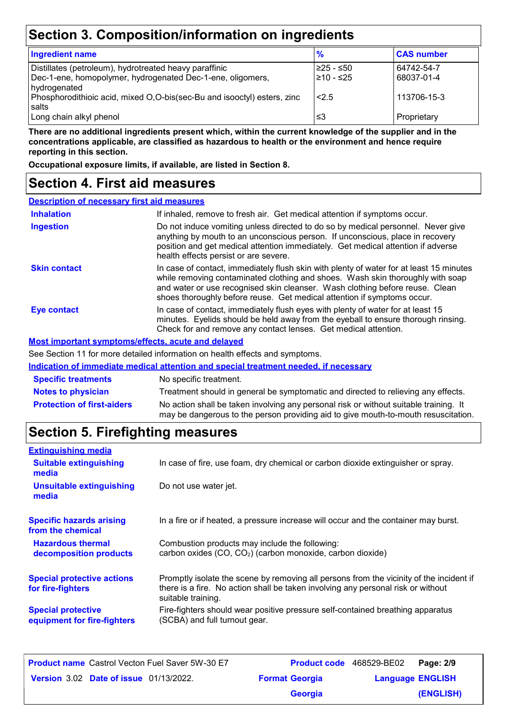# **Section 3. Composition/information on ingredients**

| <b>Ingredient name</b>                                                  | $\frac{9}{6}$ | <b>CAS number</b> |
|-------------------------------------------------------------------------|---------------|-------------------|
| Distillates (petroleum), hydrotreated heavy paraffinic                  | l≥25 - ≤50    | 64742-54-7        |
| Dec-1-ene, homopolymer, hydrogenated Dec-1-ene, oligomers,              | l≥10 - ≤25    | 68037-01-4        |
| hydrogenated                                                            |               |                   |
| Phosphorodithioic acid, mixed O,O-bis(sec-Bu and isooctyl) esters, zinc | 2.5           | 113706-15-3       |
| salts                                                                   |               |                   |
| Long chain alkyl phenol                                                 | ≤3            | Proprietary       |

**There are no additional ingredients present which, within the current knowledge of the supplier and in the concentrations applicable, are classified as hazardous to health or the environment and hence require reporting in this section.**

**Occupational exposure limits, if available, are listed in Section 8.**

### **Section 4. First aid measures**

| <b>Description of necessary first aid measures</b> |                                                                                                                                                                                                                                                                                                                                      |
|----------------------------------------------------|--------------------------------------------------------------------------------------------------------------------------------------------------------------------------------------------------------------------------------------------------------------------------------------------------------------------------------------|
| <b>Inhalation</b>                                  | If inhaled, remove to fresh air. Get medical attention if symptoms occur.                                                                                                                                                                                                                                                            |
| <b>Ingestion</b>                                   | Do not induce vomiting unless directed to do so by medical personnel. Never give<br>anything by mouth to an unconscious person. If unconscious, place in recovery<br>position and get medical attention immediately. Get medical attention if adverse<br>health effects persist or are severe.                                       |
| <b>Skin contact</b>                                | In case of contact, immediately flush skin with plenty of water for at least 15 minutes<br>while removing contaminated clothing and shoes. Wash skin thoroughly with soap<br>and water or use recognised skin cleanser. Wash clothing before reuse. Clean<br>shoes thoroughly before reuse. Get medical attention if symptoms occur. |
| <b>Eye contact</b>                                 | In case of contact, immediately flush eyes with plenty of water for at least 15<br>minutes. Eyelids should be held away from the eyeball to ensure thorough rinsing.<br>Check for and remove any contact lenses. Get medical attention.                                                                                              |
|                                                    | <b>Most important symptoms/effects, acute and delayed</b>                                                                                                                                                                                                                                                                            |
|                                                    | See Section 11 for more detailed information on booth effects and symptoms                                                                                                                                                                                                                                                           |

e Section 11 for more detailed information on health effects and symptoms.

|                                   | Indication of immediate medical attention and special treatment needed, if necessary                                                                                        |
|-----------------------------------|-----------------------------------------------------------------------------------------------------------------------------------------------------------------------------|
| <b>Specific treatments</b>        | No specific treatment.                                                                                                                                                      |
| <b>Notes to physician</b>         | Treatment should in general be symptomatic and directed to relieving any effects.                                                                                           |
| <b>Protection of first-aiders</b> | No action shall be taken involving any personal risk or without suitable training. It<br>may be dangerous to the person providing aid to give mouth-to-mouth resuscitation. |

# **Section 5. Firefighting measures**

| <b>Extinguishing media</b>                               |                                                                                                                                                                                                   |
|----------------------------------------------------------|---------------------------------------------------------------------------------------------------------------------------------------------------------------------------------------------------|
| <b>Suitable extinguishing</b><br>media                   | In case of fire, use foam, dry chemical or carbon dioxide extinguisher or spray.                                                                                                                  |
| <b>Unsuitable extinguishing</b><br>media                 | Do not use water jet.                                                                                                                                                                             |
| <b>Specific hazards arising</b><br>from the chemical     | In a fire or if heated, a pressure increase will occur and the container may burst.                                                                                                               |
| <b>Hazardous thermal</b><br>decomposition products       | Combustion products may include the following:<br>carbon oxides (CO, CO <sub>2</sub> ) (carbon monoxide, carbon dioxide)                                                                          |
| <b>Special protective actions</b><br>for fire-fighters   | Promptly isolate the scene by removing all persons from the vicinity of the incident if<br>there is a fire. No action shall be taken involving any personal risk or without<br>suitable training. |
| <b>Special protective</b><br>equipment for fire-fighters | Fire-fighters should wear positive pressure self-contained breathing apparatus<br>(SCBA) and full turnout gear.                                                                                   |

| <b>Product name</b> Castrol Vecton Fuel Saver 5W-30 E7 |                       | Product code 468529-BE02 | Page: 2/9 |
|--------------------------------------------------------|-----------------------|--------------------------|-----------|
| <b>Version 3.02 Date of issue 01/13/2022.</b>          | <b>Format Georgia</b> | <b>Language ENGLISH</b>  |           |
|                                                        | <b>Georgia</b>        |                          | (ENGLISH) |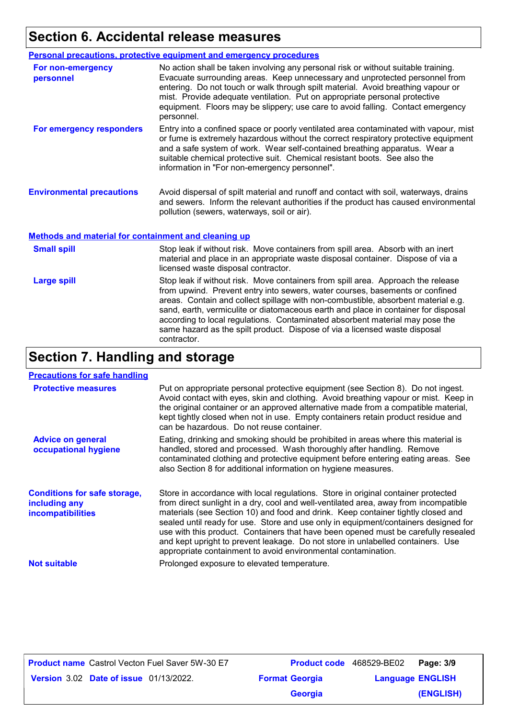# **Section 6. Accidental release measures**

|                                                      | Personal precautions, protective equipment and emergency procedures                                                                                                                                                                                                                                                                                                                                                                  |
|------------------------------------------------------|--------------------------------------------------------------------------------------------------------------------------------------------------------------------------------------------------------------------------------------------------------------------------------------------------------------------------------------------------------------------------------------------------------------------------------------|
| For non-emergency<br>personnel                       | No action shall be taken involving any personal risk or without suitable training.<br>Evacuate surrounding areas. Keep unnecessary and unprotected personnel from<br>entering. Do not touch or walk through spilt material. Avoid breathing vapour or<br>mist. Provide adequate ventilation. Put on appropriate personal protective<br>equipment. Floors may be slippery; use care to avoid falling. Contact emergency<br>personnel. |
| For emergency responders                             | Entry into a confined space or poorly ventilated area contaminated with vapour, mist<br>or fume is extremely hazardous without the correct respiratory protective equipment<br>and a safe system of work. Wear self-contained breathing apparatus. Wear a<br>suitable chemical protective suit. Chemical resistant boots. See also the<br>information in "For non-emergency personnel".                                              |
| <b>Environmental precautions</b>                     | Avoid dispersal of spilt material and runoff and contact with soil, waterways, drains<br>and sewers. Inform the relevant authorities if the product has caused environmental<br>pollution (sewers, waterways, soil or air).                                                                                                                                                                                                          |
| Methods and material for containment and cleaning up |                                                                                                                                                                                                                                                                                                                                                                                                                                      |

| <b>Small spill</b> | Stop leak if without risk. Move containers from spill area. Absorb with an inert<br>material and place in an appropriate waste disposal container. Dispose of via a<br>licensed waste disposal contractor.                                                                                                                                                                                                                                                                                                               |
|--------------------|--------------------------------------------------------------------------------------------------------------------------------------------------------------------------------------------------------------------------------------------------------------------------------------------------------------------------------------------------------------------------------------------------------------------------------------------------------------------------------------------------------------------------|
| <b>Large spill</b> | Stop leak if without risk. Move containers from spill area. Approach the release<br>from upwind. Prevent entry into sewers, water courses, basements or confined<br>areas. Contain and collect spillage with non-combustible, absorbent material e.g.<br>sand, earth, vermiculite or diatomaceous earth and place in container for disposal<br>according to local regulations. Contaminated absorbent material may pose the<br>same hazard as the spilt product. Dispose of via a licensed waste disposal<br>contractor. |

# **Section 7. Handling and storage**

#### **Precautions for safe handling**

| <b>Protective measures</b>                                                       | Put on appropriate personal protective equipment (see Section 8). Do not ingest.<br>Avoid contact with eyes, skin and clothing. Avoid breathing vapour or mist. Keep in<br>the original container or an approved alternative made from a compatible material,<br>kept tightly closed when not in use. Empty containers retain product residue and<br>can be hazardous. Do not reuse container.                                                                                                                                                                                                 |
|----------------------------------------------------------------------------------|------------------------------------------------------------------------------------------------------------------------------------------------------------------------------------------------------------------------------------------------------------------------------------------------------------------------------------------------------------------------------------------------------------------------------------------------------------------------------------------------------------------------------------------------------------------------------------------------|
| <b>Advice on general</b><br>occupational hygiene                                 | Eating, drinking and smoking should be prohibited in areas where this material is<br>handled, stored and processed. Wash thoroughly after handling. Remove<br>contaminated clothing and protective equipment before entering eating areas. See<br>also Section 8 for additional information on hygiene measures.                                                                                                                                                                                                                                                                               |
| <b>Conditions for safe storage,</b><br>including any<br><b>incompatibilities</b> | Store in accordance with local regulations. Store in original container protected<br>from direct sunlight in a dry, cool and well-ventilated area, away from incompatible<br>materials (see Section 10) and food and drink. Keep container tightly closed and<br>sealed until ready for use. Store and use only in equipment/containers designed for<br>use with this product. Containers that have been opened must be carefully resealed<br>and kept upright to prevent leakage. Do not store in unlabelled containers. Use<br>appropriate containment to avoid environmental contamination. |
| <b>Not suitable</b>                                                              | Prolonged exposure to elevated temperature.                                                                                                                                                                                                                                                                                                                                                                                                                                                                                                                                                    |

| <b>Product name</b> Castrol Vecton Fuel Saver 5W-30 E7 |                       | <b>Product code</b> 468529-BE02 | Page: 3/9 |
|--------------------------------------------------------|-----------------------|---------------------------------|-----------|
| <b>Version 3.02 Date of issue 01/13/2022.</b>          | <b>Format Georgia</b> | <b>Language ENGLISH</b>         |           |
|                                                        | <b>Georgia</b>        |                                 | (ENGLISH) |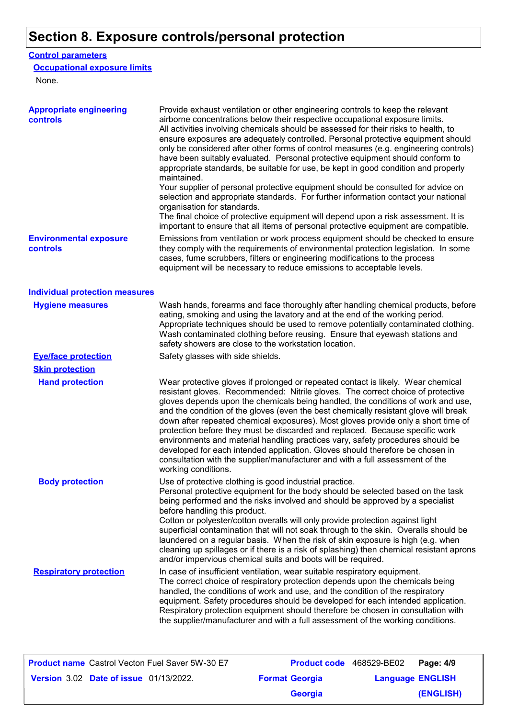# **Section 8. Exposure controls/personal protection**

#### **Control parameters**

#### **Occupational exposure limits**

None.

| <b>Appropriate engineering</b><br>controls | Provide exhaust ventilation or other engineering controls to keep the relevant<br>airborne concentrations below their respective occupational exposure limits.<br>All activities involving chemicals should be assessed for their risks to health, to<br>ensure exposures are adequately controlled. Personal protective equipment should<br>only be considered after other forms of control measures (e.g. engineering controls)<br>have been suitably evaluated. Personal protective equipment should conform to<br>appropriate standards, be suitable for use, be kept in good condition and properly<br>maintained.<br>Your supplier of personal protective equipment should be consulted for advice on<br>selection and appropriate standards. For further information contact your national<br>organisation for standards. |
|--------------------------------------------|----------------------------------------------------------------------------------------------------------------------------------------------------------------------------------------------------------------------------------------------------------------------------------------------------------------------------------------------------------------------------------------------------------------------------------------------------------------------------------------------------------------------------------------------------------------------------------------------------------------------------------------------------------------------------------------------------------------------------------------------------------------------------------------------------------------------------------|
|                                            | The final choice of protective equipment will depend upon a risk assessment. It is<br>important to ensure that all items of personal protective equipment are compatible.                                                                                                                                                                                                                                                                                                                                                                                                                                                                                                                                                                                                                                                        |
| <b>Environmental exposure</b><br>controls  | Emissions from ventilation or work process equipment should be checked to ensure<br>they comply with the requirements of environmental protection legislation. In some<br>cases, fume scrubbers, filters or engineering modifications to the process<br>equipment will be necessary to reduce emissions to acceptable levels.                                                                                                                                                                                                                                                                                                                                                                                                                                                                                                    |
| <b>Individual protection measures</b>      |                                                                                                                                                                                                                                                                                                                                                                                                                                                                                                                                                                                                                                                                                                                                                                                                                                  |
| <b>Hygiene measures</b>                    | Wash hands, forearms and face thoroughly after handling chemical products, before<br>eating, smoking and using the lavatory and at the end of the working period.<br>Appropriate techniques should be used to remove potentially contaminated clothing.<br>Wash contaminated clothing before reusing. Ensure that eyewash stations and<br>safety showers are close to the workstation location.                                                                                                                                                                                                                                                                                                                                                                                                                                  |
| <b>Eye/face protection</b>                 | Safety glasses with side shields.                                                                                                                                                                                                                                                                                                                                                                                                                                                                                                                                                                                                                                                                                                                                                                                                |
| <b>Skin protection</b>                     |                                                                                                                                                                                                                                                                                                                                                                                                                                                                                                                                                                                                                                                                                                                                                                                                                                  |
| <b>Hand protection</b>                     | Wear protective gloves if prolonged or repeated contact is likely. Wear chemical<br>resistant gloves. Recommended: Nitrile gloves. The correct choice of protective<br>gloves depends upon the chemicals being handled, the conditions of work and use,<br>and the condition of the gloves (even the best chemically resistant glove will break<br>down after repeated chemical exposures). Most gloves provide only a short time of<br>protection before they must be discarded and replaced. Because specific work<br>environments and material handling practices vary, safety procedures should be<br>developed for each intended application. Gloves should therefore be chosen in<br>consultation with the supplier/manufacturer and with a full assessment of the<br>working conditions.                                  |
| <b>Body protection</b>                     | Use of protective clothing is good industrial practice.<br>Personal protective equipment for the body should be selected based on the task<br>being performed and the risks involved and should be approved by a specialist<br>before handling this product.<br>Cotton or polyester/cotton overalls will only provide protection against light<br>superficial contamination that will not soak through to the skin. Overalls should be<br>laundered on a regular basis. When the risk of skin exposure is high (e.g. when<br>cleaning up spillages or if there is a risk of splashing) then chemical resistant aprons<br>and/or impervious chemical suits and boots will be required.                                                                                                                                            |
| <b>Respiratory protection</b>              | In case of insufficient ventilation, wear suitable respiratory equipment.<br>The correct choice of respiratory protection depends upon the chemicals being<br>handled, the conditions of work and use, and the condition of the respiratory<br>equipment. Safety procedures should be developed for each intended application.<br>Respiratory protection equipment should therefore be chosen in consultation with<br>the supplier/manufacturer and with a full assessment of the working conditions.                                                                                                                                                                                                                                                                                                                            |

| <b>Product name</b> Castrol Vecton Fuel Saver 5W-30 E7 |                       | Product code 468529-BE02 | Page: 4/9 |
|--------------------------------------------------------|-----------------------|--------------------------|-----------|
| <b>Version 3.02 Date of issue 01/13/2022.</b>          | <b>Format Georgia</b> | <b>Language ENGLISH</b>  |           |
|                                                        | <b>Georgia</b>        |                          | (ENGLISH) |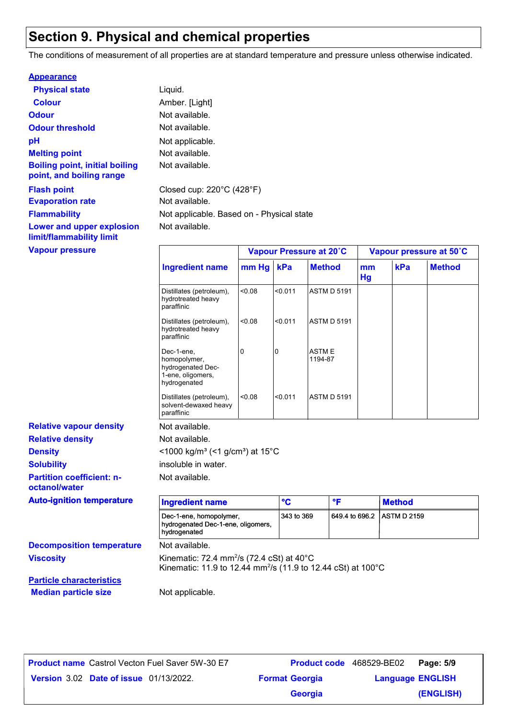# **Section 9. Physical and chemical properties**

The conditions of measurement of all properties are at standard temperature and pressure unless otherwise indicated.

| <b>Appearance</b>                                                 |                                                |                         |
|-------------------------------------------------------------------|------------------------------------------------|-------------------------|
| <b>Physical state</b>                                             | Liquid.                                        |                         |
| <b>Colour</b>                                                     | Amber. [Light]                                 |                         |
| <b>Odour</b>                                                      | Not available.                                 |                         |
| <b>Odour threshold</b>                                            | Not available.                                 |                         |
| рH                                                                | Not applicable.                                |                         |
| <b>Melting point</b>                                              | Not available.                                 |                         |
| <b>Boiling point, initial boiling</b><br>point, and boiling range | Not available.                                 |                         |
| <b>Flash point</b>                                                | Closed cup: $220^{\circ}$ C (428 $^{\circ}$ F) |                         |
| <b>Evaporation rate</b>                                           | Not available.                                 |                         |
| <b>Flammability</b>                                               | Not applicable. Based on - Physical state      |                         |
| Lower and upper explosion<br>limit/flammability limit             | Not available.                                 |                         |
| <b>Vapour pressure</b>                                            |                                                | Vapour Pressure at 20°C |

| <b>Vapour pressure</b>         |                                                                                      |        |         | Vapour Pressure at 20°C |          |     | Vapour pressure at 50°C |
|--------------------------------|--------------------------------------------------------------------------------------|--------|---------|-------------------------|----------|-----|-------------------------|
|                                | <b>Ingredient name</b>                                                               | mm Hg  | kPa     | <b>Method</b>           | mm<br>Hg | kPa | <b>Method</b>           |
|                                | Distillates (petroleum),<br>hydrotreated heavy<br>paraffinic                         | 0.08   | < 0.011 | <b>ASTM D 5191</b>      |          |     |                         |
|                                | Distillates (petroleum),<br>hydrotreated heavy<br>paraffinic                         | <0.08  | < 0.011 | <b>ASTM D 5191</b>      |          |     |                         |
|                                | Dec-1-ene,<br>homopolymer,<br>hydrogenated Dec-<br>1-ene, oligomers,<br>hydrogenated | 0      | 10      | <b>ASTME</b><br>1194-87 |          |     |                         |
|                                | Distillates (petroleum),<br>solvent-dewaxed heavy<br>paraffinic                      | < 0.08 | < 0.011 | <b>ASTM D 5191</b>      |          |     |                         |
| <b>Relative vapour density</b> | Not available.                                                                       |        |         |                         |          |     |                         |
| <b>Relative density</b>        | Not available.                                                                       |        |         |                         |          |     |                         |
| <b>Density</b>                 | <1000 kg/m <sup>3</sup> (<1 g/cm <sup>3</sup> ) at 15°C                              |        |         |                         |          |     |                         |

insoluble in water.

Not available.

| octanol/water                    |                                                                                                                                             |            |                |                     |  |
|----------------------------------|---------------------------------------------------------------------------------------------------------------------------------------------|------------|----------------|---------------------|--|
| <b>Auto-ignition temperature</b> | <b>Ingredient name</b>                                                                                                                      | °C         | ۰F             | <b>Method</b>       |  |
|                                  | Dec-1-ene, homopolymer,<br>hydrogenated Dec-1-ene, oligomers,<br>hydrogenated                                                               | 343 to 369 | 649.4 to 696.2 | <b>LASTM D 2159</b> |  |
| <b>Decomposition temperature</b> | Not available.                                                                                                                              |            |                |                     |  |
| <b>Viscosity</b>                 | Kinematic: 72.4 mm <sup>2</sup> /s (72.4 cSt) at $40^{\circ}$ C<br>Kinematic: 11.9 to 12.44 mm <sup>2</sup> /s (11.9 to 12.44 cSt) at 100°C |            |                |                     |  |
| <b>Particle characteristics</b>  |                                                                                                                                             |            |                |                     |  |
| <b>Median particle size</b>      | Not applicable.                                                                                                                             |            |                |                     |  |

**Date of issue** 01/13/2022. **Version** 3.02 **Format Georgia Language Product name** Castrol Vecton Fuel Saver 5W-30 E7 **Product code** 468529-BE02 **Page: 5/9** 

**Partition coefficient: n-**

**Solubility**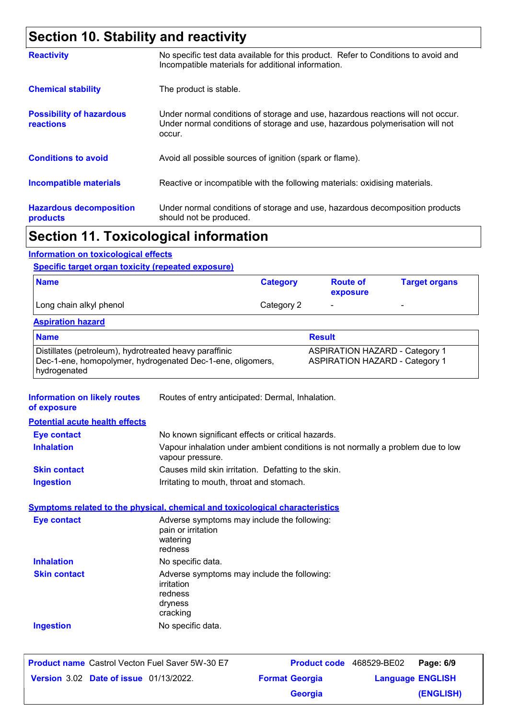# **Section 10. Stability and reactivity**

| <b>Reactivity</b>                                   | No specific test data available for this product. Refer to Conditions to avoid and<br>Incompatible materials for additional information.                                   |
|-----------------------------------------------------|----------------------------------------------------------------------------------------------------------------------------------------------------------------------------|
| <b>Chemical stability</b>                           | The product is stable.                                                                                                                                                     |
| <b>Possibility of hazardous</b><br><b>reactions</b> | Under normal conditions of storage and use, hazardous reactions will not occur.<br>Under normal conditions of storage and use, hazardous polymerisation will not<br>occur. |
| <b>Conditions to avoid</b>                          | Avoid all possible sources of ignition (spark or flame).                                                                                                                   |
| <b>Incompatible materials</b>                       | Reactive or incompatible with the following materials: oxidising materials.                                                                                                |
| <b>Hazardous decomposition</b><br>products          | Under normal conditions of storage and use, hazardous decomposition products<br>should not be produced.                                                                    |
|                                                     |                                                                                                                                                                            |

### **Section 11. Toxicological information**

#### **Information on toxicological effects**

#### **Specific target organ toxicity (repeated exposure)**

| <b>Name</b>             | <b>Category</b> | <b>Route of</b><br>exposure | <b>Target organs</b>     |
|-------------------------|-----------------|-----------------------------|--------------------------|
| Long chain alkyl phenol | Category 2      | $\overline{\phantom{0}}$    | $\overline{\phantom{0}}$ |

#### **Aspiration hazard**

| <b>Name</b>                                                | <b>Result</b>                         |
|------------------------------------------------------------|---------------------------------------|
| Distillates (petroleum), hydrotreated heavy paraffinic     | <b>ASPIRATION HAZARD - Category 1</b> |
| Dec-1-ene, homopolymer, hydrogenated Dec-1-ene, oligomers, | <b>ASPIRATION HAZARD - Category 1</b> |
| hydrogenated                                               |                                       |

| <b>Information on likely routes</b><br>of exposure | Routes of entry anticipated: Dermal, Inhalation.                                                    |
|----------------------------------------------------|-----------------------------------------------------------------------------------------------------|
| <b>Potential acute health effects</b>              |                                                                                                     |
| <b>Eye contact</b>                                 | No known significant effects or critical hazards.                                                   |
| <b>Inhalation</b>                                  | Vapour inhalation under ambient conditions is not normally a problem due to low<br>vapour pressure. |
| <b>Skin contact</b>                                | Causes mild skin irritation. Defatting to the skin.                                                 |
| <b>Ingestion</b>                                   | Irritating to mouth, throat and stomach.                                                            |
|                                                    | <b>Symptoms related to the physical, chemical and toxicological characteristics</b>                 |
| <b>Eye contact</b>                                 | Adverse symptoms may include the following:<br>pain or irritation<br>watering<br>redness            |
| <b>Inhalation</b>                                  | No specific data.                                                                                   |
| <b>Skin contact</b>                                | Adverse symptoms may include the following:<br>irritation<br>redness<br>dryness<br>cracking         |
| <b>Ingestion</b>                                   | No specific data.                                                                                   |
|                                                    |                                                                                                     |

| <b>Product name</b> Castrol Vecton Fuel Saver 5W-30 E7 |                       | Product code 468529-BE02 | Page: 6/9 |
|--------------------------------------------------------|-----------------------|--------------------------|-----------|
| <b>Version 3.02 Date of issue 01/13/2022.</b>          | <b>Format Georgia</b> | <b>Language ENGLISH</b>  |           |
|                                                        | <b>Georgia</b>        |                          | (ENGLISH) |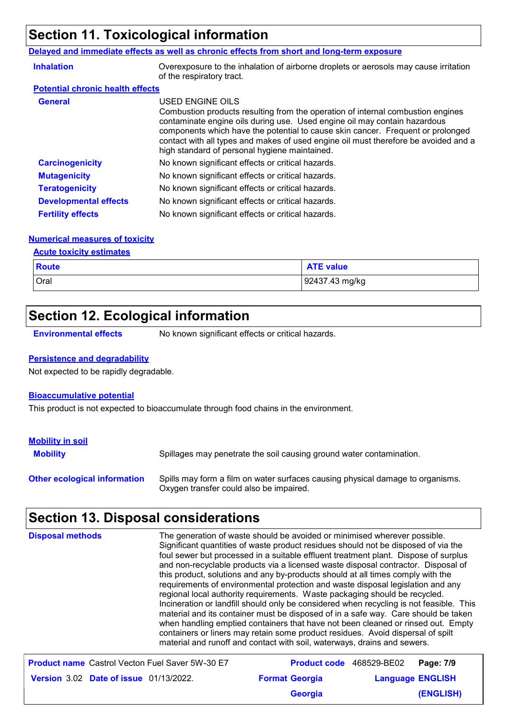# **Section 11. Toxicological information**

#### **Delayed and immediate effects as well as chronic effects from short and long-term exposure**

| <b>Inhalation</b>                       | Overexposure to the inhalation of airborne droplets or aerosols may cause irritation<br>of the respiratory tract.                                                                                                                                                                                                                                                                                           |
|-----------------------------------------|-------------------------------------------------------------------------------------------------------------------------------------------------------------------------------------------------------------------------------------------------------------------------------------------------------------------------------------------------------------------------------------------------------------|
| <b>Potential chronic health effects</b> |                                                                                                                                                                                                                                                                                                                                                                                                             |
| <b>General</b>                          | USED ENGINE OILS<br>Combustion products resulting from the operation of internal combustion engines<br>contaminate engine oils during use. Used engine oil may contain hazardous<br>components which have the potential to cause skin cancer. Frequent or prolonged<br>contact with all types and makes of used engine oil must therefore be avoided and a<br>high standard of personal hygiene maintained. |
| <b>Carcinogenicity</b>                  | No known significant effects or critical hazards.                                                                                                                                                                                                                                                                                                                                                           |
| <b>Mutagenicity</b>                     | No known significant effects or critical hazards.                                                                                                                                                                                                                                                                                                                                                           |
| <b>Teratogenicity</b>                   | No known significant effects or critical hazards.                                                                                                                                                                                                                                                                                                                                                           |
| <b>Developmental effects</b>            | No known significant effects or critical hazards.                                                                                                                                                                                                                                                                                                                                                           |
| <b>Fertility effects</b>                | No known significant effects or critical hazards.                                                                                                                                                                                                                                                                                                                                                           |

#### **Numerical measures of toxicity**

#### **Acute toxicity estimates**

| <b>Route</b> | <b>ATE value</b> |
|--------------|------------------|
| Oral         | 92437.43 mg/kg   |

# **Section 12. Ecological information**

**Environmental effects** No known significant effects or critical hazards.

#### **Persistence and degradability**

Not expected to be rapidly degradable.

#### **Bioaccumulative potential**

This product is not expected to bioaccumulate through food chains in the environment.

| <b>Mobility in soil</b>             |                                                                                                                           |
|-------------------------------------|---------------------------------------------------------------------------------------------------------------------------|
| <b>Mobility</b>                     | Spillages may penetrate the soil causing ground water contamination.                                                      |
| <b>Other ecological information</b> | Spills may form a film on water surfaces causing physical damage to organisms.<br>Oxygen transfer could also be impaired. |

# **Section 13. Disposal considerations**

| <b>Disposal methods</b><br>foul sewer but processed in a suitable effluent treatment plant. Dispose of surplus<br>and non-recyclable products via a licensed waste disposal contractor. Disposal of<br>material and its container must be disposed of in a safe way. Care should be taken<br>when handling emptied containers that have not been cleaned or rinsed out. Empty<br>containers or liners may retain some product residues. Avoid dispersal of spilt<br>material and runoff and contact with soil, waterways, drains and sewers. | The generation of waste should be avoided or minimised wherever possible.<br>Significant quantities of waste product residues should not be disposed of via the<br>this product, solutions and any by-products should at all times comply with the<br>requirements of environmental protection and waste disposal legislation and any<br>regional local authority requirements. Waste packaging should be recycled.<br>Incineration or landfill should only be considered when recycling is not feasible. This |                                 |                         |
|----------------------------------------------------------------------------------------------------------------------------------------------------------------------------------------------------------------------------------------------------------------------------------------------------------------------------------------------------------------------------------------------------------------------------------------------------------------------------------------------------------------------------------------------|----------------------------------------------------------------------------------------------------------------------------------------------------------------------------------------------------------------------------------------------------------------------------------------------------------------------------------------------------------------------------------------------------------------------------------------------------------------------------------------------------------------|---------------------------------|-------------------------|
| <b>Product name</b> Castrol Vecton Fuel Saver 5W-30 E7                                                                                                                                                                                                                                                                                                                                                                                                                                                                                       |                                                                                                                                                                                                                                                                                                                                                                                                                                                                                                                | <b>Product code</b> 468529-BE02 | Page: 7/9               |
| <b>Version 3.02 Date of issue 01/13/2022.</b>                                                                                                                                                                                                                                                                                                                                                                                                                                                                                                | <b>Format Georgia</b>                                                                                                                                                                                                                                                                                                                                                                                                                                                                                          |                                 | <b>Language ENGLISH</b> |

**Georgia**

**(ENGLISH)**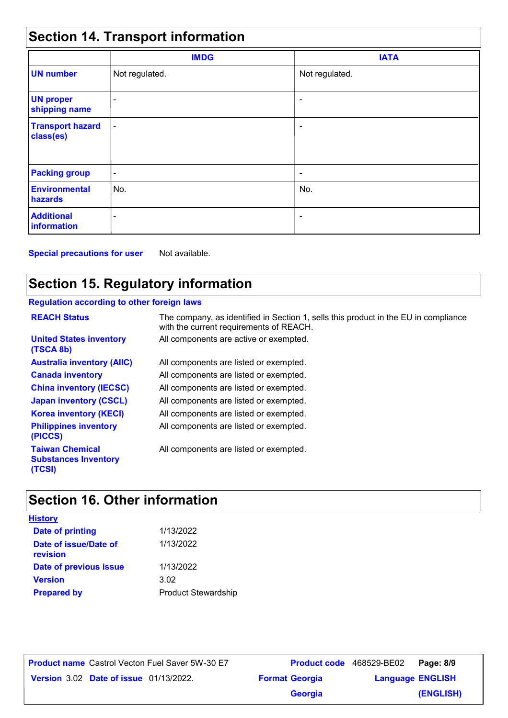# **Section 14. Transport information**

|                                      | <b>IMDG</b>              | <b>IATA</b>    |  |
|--------------------------------------|--------------------------|----------------|--|
| <b>UN number</b>                     | Not regulated.           | Not regulated. |  |
| <b>UN proper</b><br>shipping name    | ٠                        | ٠              |  |
| <b>Transport hazard</b><br>class(es) | $\overline{\phantom{a}}$ | ۰              |  |
| <b>Packing group</b>                 | ۰                        |                |  |
| <b>Environmental</b><br>hazards      | No.                      | No.            |  |
| <b>Additional</b><br>information     | ۰                        | ٠              |  |

**Special precautions for user** Not available.

# **Section 15. Regulatory information**

#### **Regulation according to other foreign laws**

| <b>REACH Status</b>                                             | The company, as identified in Section 1, sells this product in the EU in compliance<br>with the current requirements of REACH. |
|-----------------------------------------------------------------|--------------------------------------------------------------------------------------------------------------------------------|
| <b>United States inventory</b><br>(TSCA 8b)                     | All components are active or exempted.                                                                                         |
| <b>Australia inventory (AIIC)</b>                               | All components are listed or exempted.                                                                                         |
| <b>Canada inventory</b>                                         | All components are listed or exempted.                                                                                         |
| <b>China inventory (IECSC)</b>                                  | All components are listed or exempted.                                                                                         |
| <b>Japan inventory (CSCL)</b>                                   | All components are listed or exempted.                                                                                         |
| <b>Korea inventory (KECI)</b>                                   | All components are listed or exempted.                                                                                         |
| <b>Philippines inventory</b><br>(PICCS)                         | All components are listed or exempted.                                                                                         |
| <b>Taiwan Chemical</b><br><b>Substances Inventory</b><br>(TCSI) | All components are listed or exempted.                                                                                         |

# **Section 16. Other information**

| <b>History</b>                    |                            |
|-----------------------------------|----------------------------|
| <b>Date of printing</b>           | 1/13/2022                  |
| Date of issue/Date of<br>revision | 1/13/2022                  |
| Date of previous issue            | 1/13/2022                  |
| <b>Version</b>                    | 3.02                       |
| <b>Prepared by</b>                | <b>Product Stewardship</b> |

**Date of issue** 01/13/2022. **Version** 3.02 **Format Georgia Language Product name** Castrol Vecton Fuel Saver 5W-30 E7 **Product code** 468529-BE02 **Page: 8/9** | **Language ENGLISH (ENGLISH)** Product code 468529-BE02 Page: 8/9 **Georgia**